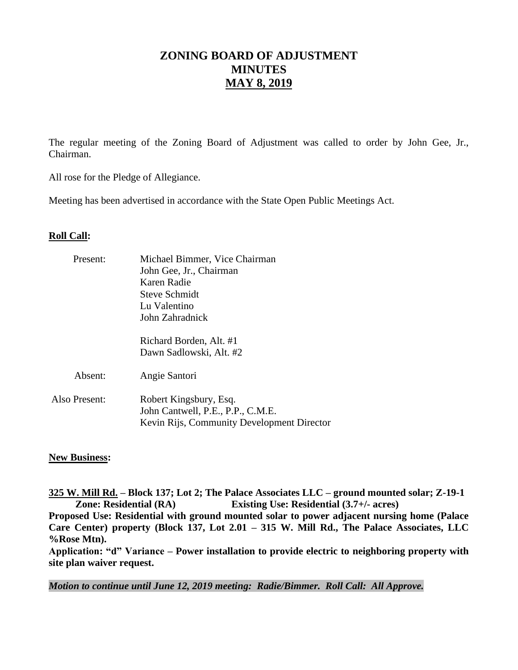# **ZONING BOARD OF ADJUSTMENT MINUTES MAY 8, 2019**

The regular meeting of the Zoning Board of Adjustment was called to order by John Gee, Jr., Chairman.

All rose for the Pledge of Allegiance.

Meeting has been advertised in accordance with the State Open Public Meetings Act.

## **Roll Call:**

| Michael Bimmer, Vice Chairman                                                                             |
|-----------------------------------------------------------------------------------------------------------|
| John Gee, Jr., Chairman                                                                                   |
| Karen Radie                                                                                               |
| Steve Schmidt                                                                                             |
| Lu Valentino                                                                                              |
| John Zahradnick                                                                                           |
| Richard Borden, Alt. #1                                                                                   |
| Dawn Sadlowski, Alt. #2                                                                                   |
| Angie Santori                                                                                             |
| Robert Kingsbury, Esq.<br>John Cantwell, P.E., P.P., C.M.E.<br>Kevin Rijs, Community Development Director |
|                                                                                                           |

## **New Business:**

**325 W. Mill Rd. – Block 137; Lot 2; The Palace Associates LLC – ground mounted solar; Z-19-1 Zone: Residential (RA) Existing Use: Residential (3.7+/- acres) Proposed Use: Residential with ground mounted solar to power adjacent nursing home (Palace Care Center) property (Block 137, Lot 2.01 – 315 W. Mill Rd., The Palace Associates, LLC %Rose Mtn). Application: "d" Variance – Power installation to provide electric to neighboring property with** 

**site plan waiver request.** 

*Motion to continue until June 12, 2019 meeting: Radie/Bimmer. Roll Call: All Approve.*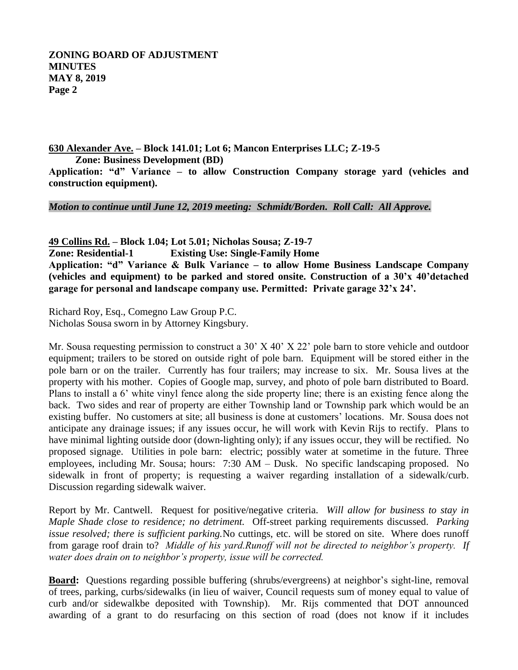**ZONING BOARD OF ADJUSTMENT MINUTES MAY 8, 2019 Page 2**

**630 Alexander Ave. – Block 141.01; Lot 6; Mancon Enterprises LLC; Z-19-5 Zone: Business Development (BD)**

**Application: "d" Variance – to allow Construction Company storage yard (vehicles and construction equipment).** 

*Motion to continue until June 12, 2019 meeting: Schmidt/Borden. Roll Call: All Approve.*

**49 Collins Rd. – Block 1.04; Lot 5.01; Nicholas Sousa; Z-19-7 Zone: Residential-1 Existing Use: Single-Family Home Application: "d" Variance & Bulk Variance – to allow Home Business Landscape Company (vehicles and equipment) to be parked and stored onsite. Construction of a 30'x 40'detached garage for personal and landscape company use. Permitted: Private garage 32'x 24'.**

Richard Roy, Esq., Comegno Law Group P.C. Nicholas Sousa sworn in by Attorney Kingsbury.

Mr. Sousa requesting permission to construct a 30' X 40' X 22' pole barn to store vehicle and outdoor equipment; trailers to be stored on outside right of pole barn. Equipment will be stored either in the pole barn or on the trailer. Currently has four trailers; may increase to six. Mr. Sousa lives at the property with his mother. Copies of Google map, survey, and photo of pole barn distributed to Board. Plans to install a 6' white vinyl fence along the side property line; there is an existing fence along the back. Two sides and rear of property are either Township land or Township park which would be an existing buffer. No customers at site; all business is done at customers' locations. Mr. Sousa does not anticipate any drainage issues; if any issues occur, he will work with Kevin Rijs to rectify. Plans to have minimal lighting outside door (down-lighting only); if any issues occur, they will be rectified. No proposed signage. Utilities in pole barn: electric; possibly water at sometime in the future. Three employees, including Mr. Sousa; hours: 7:30 AM – Dusk. No specific landscaping proposed. No sidewalk in front of property; is requesting a waiver regarding installation of a sidewalk/curb. Discussion regarding sidewalk waiver.

Report by Mr. Cantwell. Request for positive/negative criteria. *Will allow for business to stay in Maple Shade close to residence; no detriment.* Off-street parking requirements discussed. *Parking issue resolved; there is sufficient parking.*No cuttings, etc. will be stored on site. Where does runoff from garage roof drain to? *Middle of his yard.Runoff will not be directed to neighbor's property. If water does drain on to neighbor's property, issue will be corrected.* 

**Board:** Questions regarding possible buffering (shrubs/evergreens) at neighbor's sight-line, removal of trees, parking, curbs/sidewalks (in lieu of waiver, Council requests sum of money equal to value of curb and/or sidewalkbe deposited with Township). Mr. Rijs commented that DOT announced awarding of a grant to do resurfacing on this section of road (does not know if it includes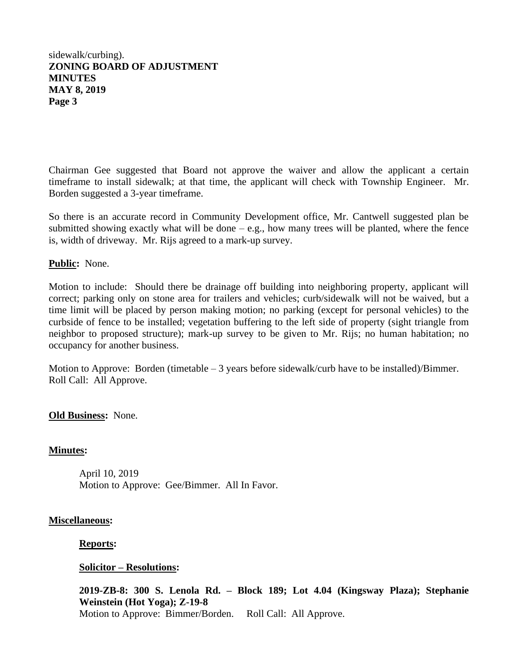# sidewalk/curbing). **ZONING BOARD OF ADJUSTMENT MINUTES MAY 8, 2019 Page 3**

Chairman Gee suggested that Board not approve the waiver and allow the applicant a certain timeframe to install sidewalk; at that time, the applicant will check with Township Engineer. Mr. Borden suggested a 3-year timeframe.

So there is an accurate record in Community Development office, Mr. Cantwell suggested plan be submitted showing exactly what will be done  $-e.g.,$  how many trees will be planted, where the fence is, width of driveway. Mr. Rijs agreed to a mark-up survey.

## **Public:** None.

Motion to include: Should there be drainage off building into neighboring property, applicant will correct; parking only on stone area for trailers and vehicles; curb/sidewalk will not be waived, but a time limit will be placed by person making motion; no parking (except for personal vehicles) to the curbside of fence to be installed; vegetation buffering to the left side of property (sight triangle from neighbor to proposed structure); mark-up survey to be given to Mr. Rijs; no human habitation; no occupancy for another business.

Motion to Approve: Borden (timetable – 3 years before sidewalk/curb have to be installed)/Bimmer. Roll Call: All Approve.

## **Old Business:** None.

## **Minutes:**

April 10, 2019 Motion to Approve: Gee/Bimmer. All In Favor.

#### **Miscellaneous:**

#### **Reports:**

## **Solicitor – Resolutions:**

**2019-ZB-8: 300 S. Lenola Rd. – Block 189; Lot 4.04 (Kingsway Plaza); Stephanie Weinstein (Hot Yoga); Z-19-8** Motion to Approve: Bimmer/Borden. Roll Call: All Approve.